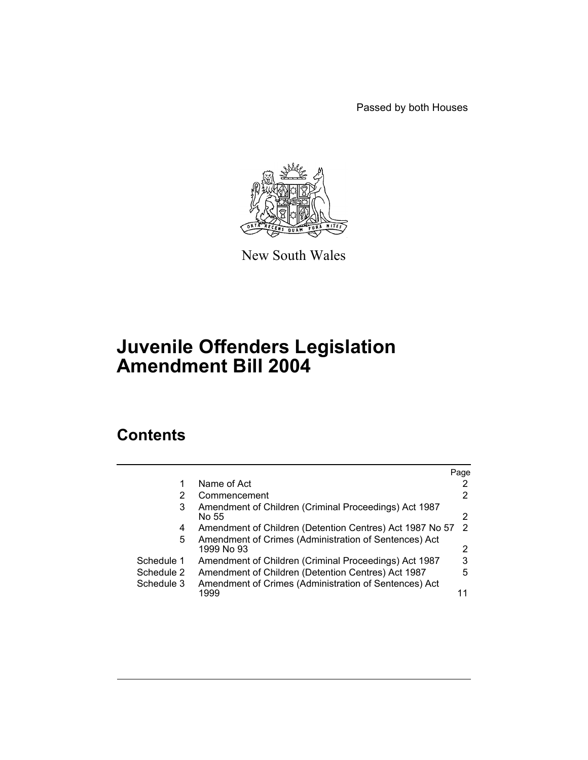Passed by both Houses



New South Wales

# **Juvenile Offenders Legislation Amendment Bill 2004**

# **Contents**

|            |                                                                     | Page |
|------------|---------------------------------------------------------------------|------|
|            | Name of Act                                                         |      |
| 2          | Commencement                                                        | 2    |
| 3          | Amendment of Children (Criminal Proceedings) Act 1987<br>No 55      | 2    |
| 4          | Amendment of Children (Detention Centres) Act 1987 No 57            | 2    |
| 5          | Amendment of Crimes (Administration of Sentences) Act<br>1999 No 93 | 2    |
| Schedule 1 | Amendment of Children (Criminal Proceedings) Act 1987               | 3    |
| Schedule 2 | Amendment of Children (Detention Centres) Act 1987                  | 5    |
| Schedule 3 | Amendment of Crimes (Administration of Sentences) Act               |      |
|            | 1999                                                                |      |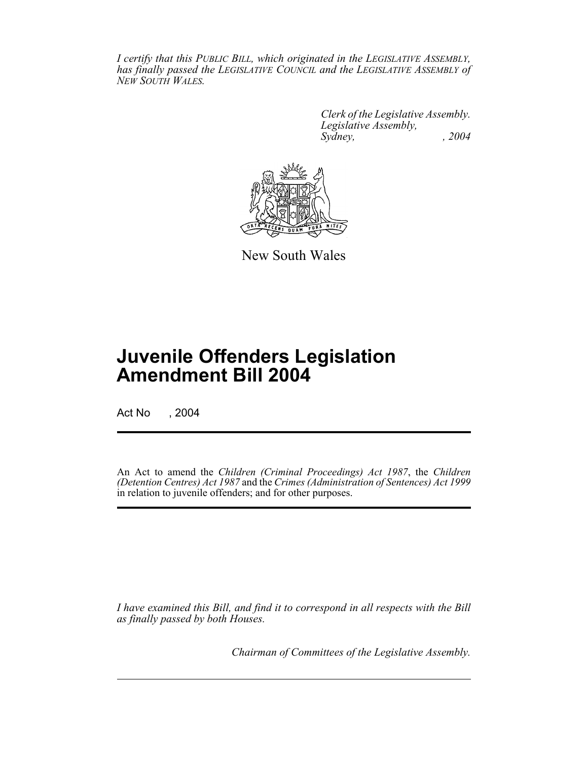*I certify that this PUBLIC BILL, which originated in the LEGISLATIVE ASSEMBLY, has finally passed the LEGISLATIVE COUNCIL and the LEGISLATIVE ASSEMBLY of NEW SOUTH WALES.*

> *Clerk of the Legislative Assembly. Legislative Assembly, Sydney, , 2004*



New South Wales

# **Juvenile Offenders Legislation Amendment Bill 2004**

Act No , 2004

An Act to amend the *Children (Criminal Proceedings) Act 1987*, the *Children (Detention Centres) Act 1987* and the *Crimes (Administration of Sentences) Act 1999* in relation to juvenile offenders; and for other purposes.

*I have examined this Bill, and find it to correspond in all respects with the Bill as finally passed by both Houses.*

*Chairman of Committees of the Legislative Assembly.*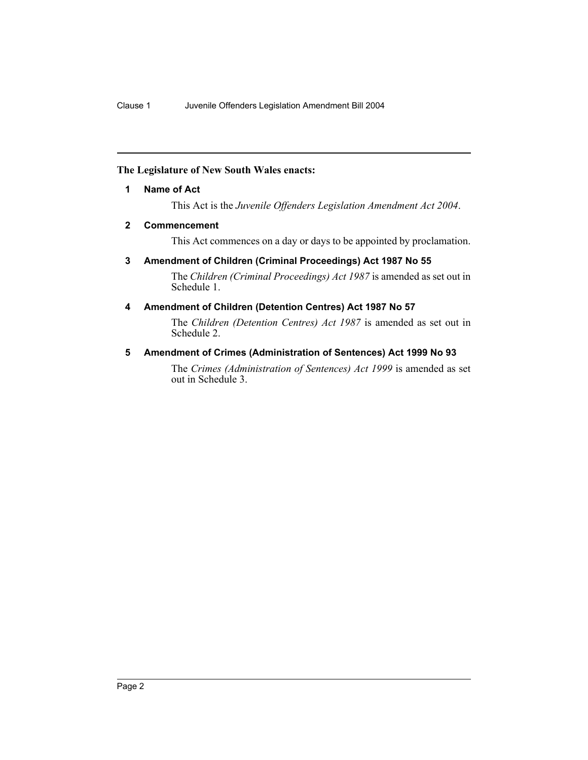#### **The Legislature of New South Wales enacts:**

#### **1 Name of Act**

This Act is the *Juvenile Offenders Legislation Amendment Act 2004*.

#### **2 Commencement**

This Act commences on a day or days to be appointed by proclamation.

# **3 Amendment of Children (Criminal Proceedings) Act 1987 No 55**

The *Children (Criminal Proceedings) Act 1987* is amended as set out in Schedule 1.

# **4 Amendment of Children (Detention Centres) Act 1987 No 57**

The *Children (Detention Centres) Act 1987* is amended as set out in Schedule 2.

#### **5 Amendment of Crimes (Administration of Sentences) Act 1999 No 93**

The *Crimes (Administration of Sentences) Act 1999* is amended as set out in Schedule 3.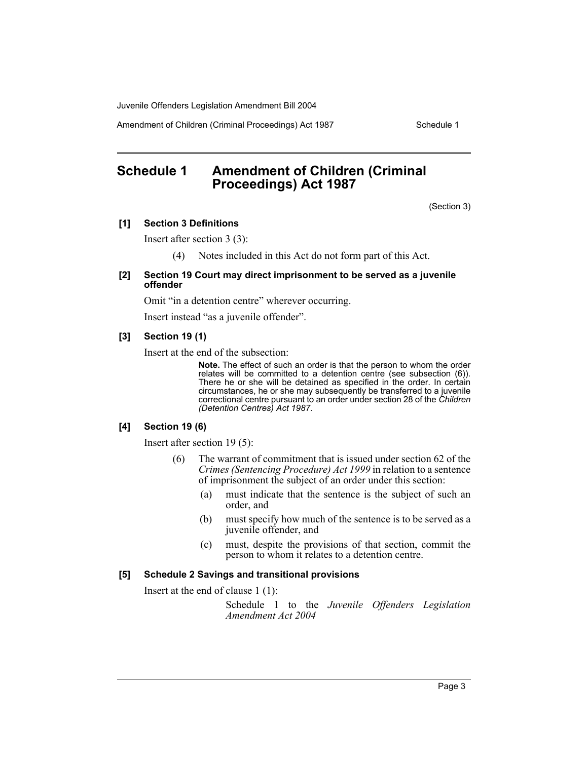Amendment of Children (Criminal Proceedings) Act 1987 Schedule 1

# **Schedule 1 Amendment of Children (Criminal Proceedings) Act 1987**

(Section 3)

#### **[1] Section 3 Definitions**

Insert after section 3 (3):

(4) Notes included in this Act do not form part of this Act.

#### **[2] Section 19 Court may direct imprisonment to be served as a juvenile offender**

Omit "in a detention centre" wherever occurring.

Insert instead "as a juvenile offender".

#### **[3] Section 19 (1)**

Insert at the end of the subsection:

**Note.** The effect of such an order is that the person to whom the order relates will be committed to a detention centre (see subsection (6)). There he or she will be detained as specified in the order. In certain circumstances, he or she may subsequently be transferred to a juvenile correctional centre pursuant to an order under section 28 of the *Children (Detention Centres) Act 1987*.

#### **[4] Section 19 (6)**

Insert after section 19 (5):

- (6) The warrant of commitment that is issued under section 62 of the *Crimes (Sentencing Procedure) Act 1999* in relation to a sentence of imprisonment the subject of an order under this section:
	- (a) must indicate that the sentence is the subject of such an order, and
	- (b) must specify how much of the sentence is to be served as a juvenile offender, and
	- (c) must, despite the provisions of that section, commit the person to whom it relates to a detention centre.

#### **[5] Schedule 2 Savings and transitional provisions**

Insert at the end of clause 1 (1):

Schedule 1 to the *Juvenile Offenders Legislation Amendment Act 2004*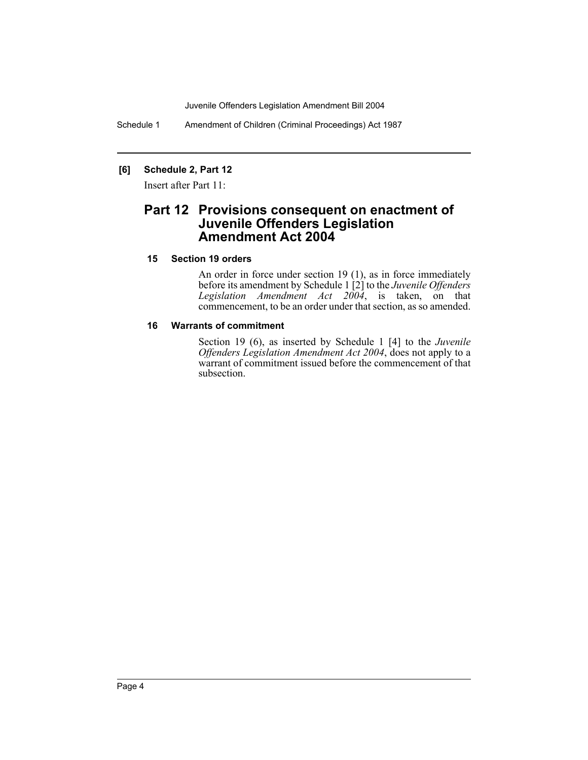Schedule 1 Amendment of Children (Criminal Proceedings) Act 1987

# **[6] Schedule 2, Part 12**

Insert after Part 11:

# **Part 12 Provisions consequent on enactment of Juvenile Offenders Legislation Amendment Act 2004**

#### **15 Section 19 orders**

An order in force under section 19 (1), as in force immediately before its amendment by Schedule 1 [2] to the *Juvenile Offenders Legislation Amendment Act 2004*, is taken, on that commencement, to be an order under that section, as so amended.

#### **16 Warrants of commitment**

Section 19 (6), as inserted by Schedule 1 [4] to the *Juvenile Offenders Legislation Amendment Act 2004*, does not apply to a warrant of commitment issued before the commencement of that subsection.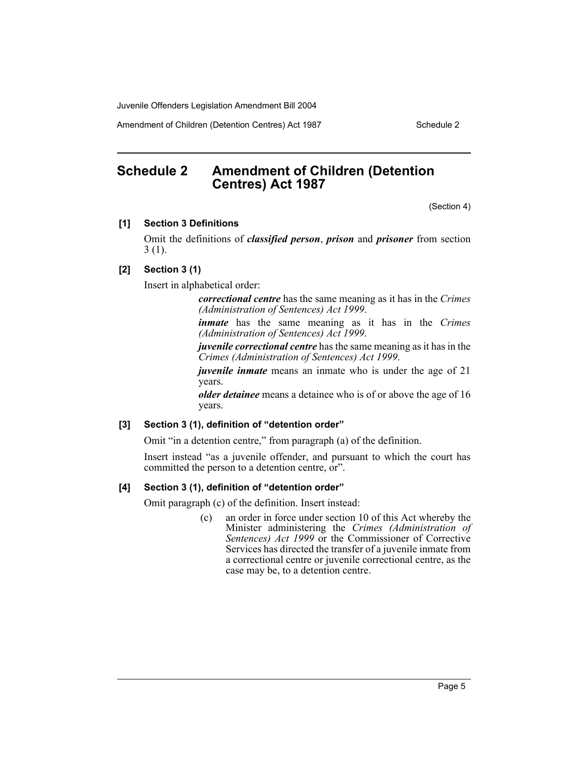Amendment of Children (Detention Centres) Act 1987 Schedule 2

# **Schedule 2 Amendment of Children (Detention Centres) Act 1987**

(Section 4)

#### **[1] Section 3 Definitions**

Omit the definitions of *classified person*, *prison* and *prisoner* from section 3 (1).

#### **[2] Section 3 (1)**

Insert in alphabetical order:

*correctional centre* has the same meaning as it has in the *Crimes (Administration of Sentences) Act 1999*.

*inmate* has the same meaning as it has in the *Crimes (Administration of Sentences) Act 1999*.

*juvenile correctional centre* has the same meaning as it has in the *Crimes (Administration of Sentences) Act 1999*.

*juvenile inmate* means an inmate who is under the age of 21 years.

*older detainee* means a detainee who is of or above the age of 16 years.

#### **[3] Section 3 (1), definition of "detention order"**

Omit "in a detention centre," from paragraph (a) of the definition.

Insert instead "as a juvenile offender, and pursuant to which the court has committed the person to a detention centre, or".

#### **[4] Section 3 (1), definition of "detention order"**

Omit paragraph (c) of the definition. Insert instead:

(c) an order in force under section 10 of this Act whereby the Minister administering the *Crimes (Administration of Sentences) Act 1999* or the Commissioner of Corrective Services has directed the transfer of a juvenile inmate from a correctional centre or juvenile correctional centre, as the case may be, to a detention centre.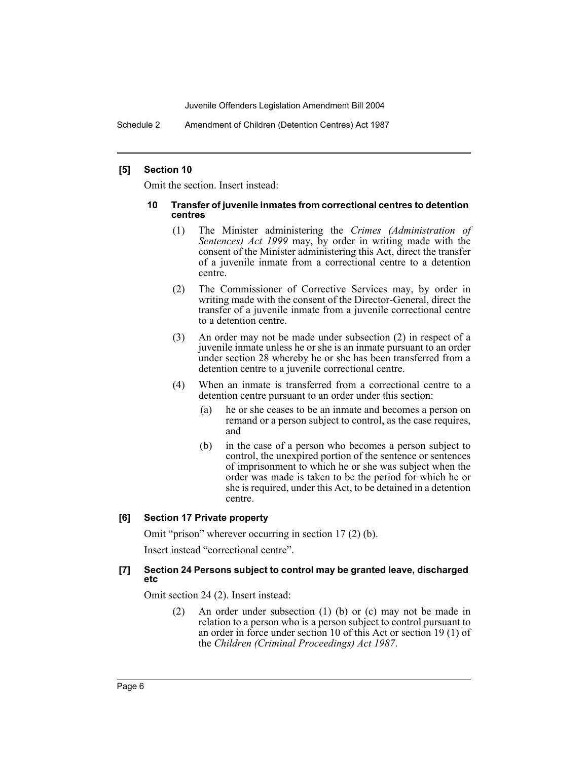Schedule 2 Amendment of Children (Detention Centres) Act 1987

#### **[5] Section 10**

Omit the section. Insert instead:

#### **10 Transfer of juvenile inmates from correctional centres to detention centres**

- (1) The Minister administering the *Crimes (Administration of Sentences) Act 1999* may, by order in writing made with the consent of the Minister administering this Act, direct the transfer of a juvenile inmate from a correctional centre to a detention centre.
- (2) The Commissioner of Corrective Services may, by order in writing made with the consent of the Director-General, direct the transfer of a juvenile inmate from a juvenile correctional centre to a detention centre.
- (3) An order may not be made under subsection (2) in respect of a juvenile inmate unless he or she is an inmate pursuant to an order under section 28 whereby he or she has been transferred from a detention centre to a juvenile correctional centre.
- (4) When an inmate is transferred from a correctional centre to a detention centre pursuant to an order under this section:
	- (a) he or she ceases to be an inmate and becomes a person on remand or a person subject to control, as the case requires, and
	- (b) in the case of a person who becomes a person subject to control, the unexpired portion of the sentence or sentences of imprisonment to which he or she was subject when the order was made is taken to be the period for which he or she is required, under this Act, to be detained in a detention centre.

#### **[6] Section 17 Private property**

Omit "prison" wherever occurring in section 17 (2) (b).

Insert instead "correctional centre".

#### **[7] Section 24 Persons subject to control may be granted leave, discharged etc**

Omit section 24 (2). Insert instead:

(2) An order under subsection (1) (b) or (c) may not be made in relation to a person who is a person subject to control pursuant to an order in force under section 10 of this Act or section 19 (1) of the *Children (Criminal Proceedings) Act 1987*.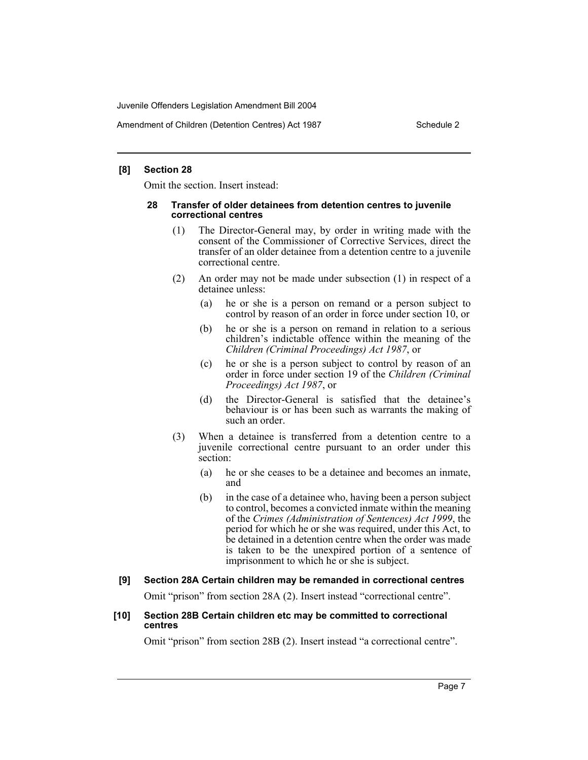Amendment of Children (Detention Centres) Act 1987 Schedule 2

#### **[8] Section 28**

Omit the section. Insert instead:

#### **28 Transfer of older detainees from detention centres to juvenile correctional centres**

- (1) The Director-General may, by order in writing made with the consent of the Commissioner of Corrective Services, direct the transfer of an older detainee from a detention centre to a juvenile correctional centre.
- (2) An order may not be made under subsection (1) in respect of a detainee unless:
	- (a) he or she is a person on remand or a person subject to control by reason of an order in force under section 10, or
	- (b) he or she is a person on remand in relation to a serious children's indictable offence within the meaning of the *Children (Criminal Proceedings) Act 1987*, or
	- (c) he or she is a person subject to control by reason of an order in force under section 19 of the *Children (Criminal Proceedings) Act 1987*, or
	- (d) the Director-General is satisfied that the detainee's behaviour is or has been such as warrants the making of such an order.
- (3) When a detainee is transferred from a detention centre to a juvenile correctional centre pursuant to an order under this section:
	- (a) he or she ceases to be a detainee and becomes an inmate, and
	- (b) in the case of a detainee who, having been a person subject to control, becomes a convicted inmate within the meaning of the *Crimes (Administration of Sentences) Act 1999*, the period for which he or she was required, under this Act, to be detained in a detention centre when the order was made is taken to be the unexpired portion of a sentence of imprisonment to which he or she is subject.

# **[9] Section 28A Certain children may be remanded in correctional centres**

Omit "prison" from section 28A (2). Insert instead "correctional centre".

#### **[10] Section 28B Certain children etc may be committed to correctional centres**

Omit "prison" from section 28B (2). Insert instead "a correctional centre".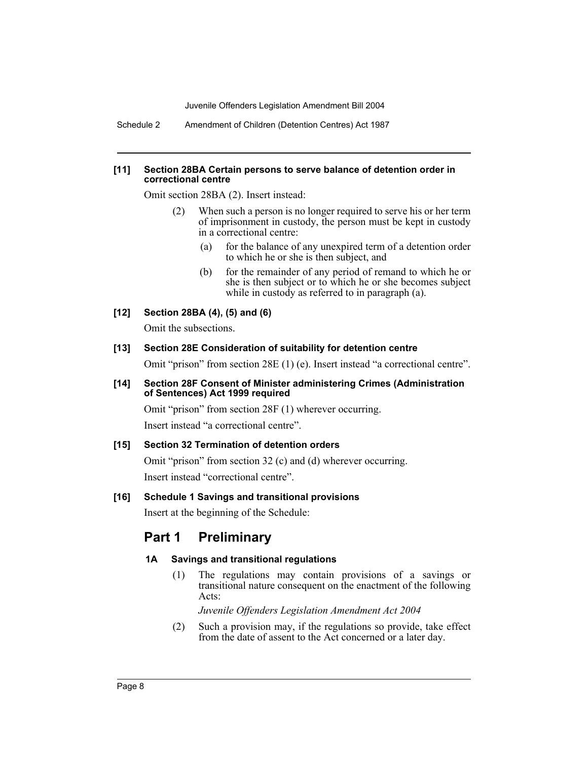Schedule 2 Amendment of Children (Detention Centres) Act 1987

#### **[11] Section 28BA Certain persons to serve balance of detention order in correctional centre**

Omit section 28BA (2). Insert instead:

- (2) When such a person is no longer required to serve his or her term of imprisonment in custody, the person must be kept in custody in a correctional centre:
	- (a) for the balance of any unexpired term of a detention order to which he or she is then subject, and
	- (b) for the remainder of any period of remand to which he or she is then subject or to which he or she becomes subject while in custody as referred to in paragraph (a).

# **[12] Section 28BA (4), (5) and (6)**

Omit the subsections.

# **[13] Section 28E Consideration of suitability for detention centre**

Omit "prison" from section 28E (1) (e). Insert instead "a correctional centre".

#### **[14] Section 28F Consent of Minister administering Crimes (Administration of Sentences) Act 1999 required**

Omit "prison" from section 28F (1) wherever occurring.

Insert instead "a correctional centre".

# **[15] Section 32 Termination of detention orders**

Omit "prison" from section 32 (c) and (d) wherever occurring. Insert instead "correctional centre".

# **[16] Schedule 1 Savings and transitional provisions**

Insert at the beginning of the Schedule:

# **Part 1 Preliminary**

# **1A Savings and transitional regulations**

(1) The regulations may contain provisions of a savings or transitional nature consequent on the enactment of the following Acts:

*Juvenile Offenders Legislation Amendment Act 2004*

(2) Such a provision may, if the regulations so provide, take effect from the date of assent to the Act concerned or a later day.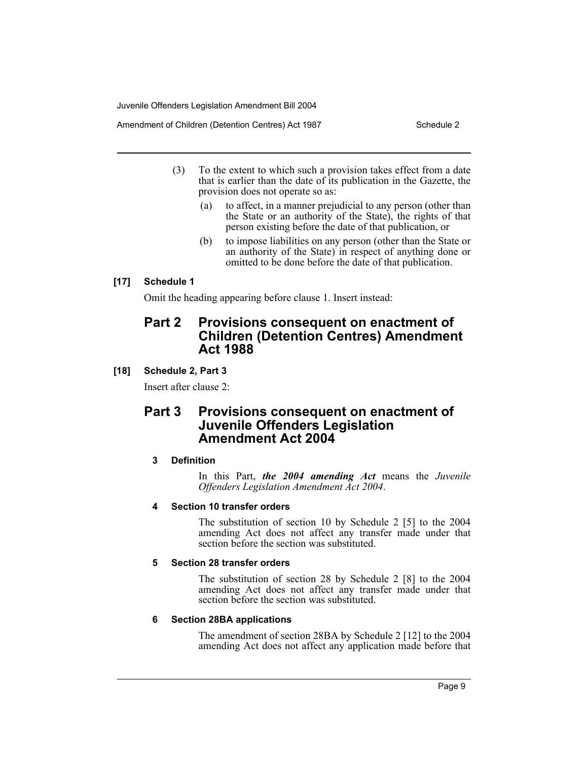Amendment of Children (Detention Centres) Act 1987 Schedule 2

- (3) To the extent to which such a provision takes effect from a date that is earlier than the date of its publication in the Gazette, the provision does not operate so as:
	- (a) to affect, in a manner prejudicial to any person (other than the State or an authority of the State), the rights of that person existing before the date of that publication, or
	- (b) to impose liabilities on any person (other than the State or an authority of the State) in respect of anything done or omitted to be done before the date of that publication.

# **[17] Schedule 1**

Omit the heading appearing before clause 1. Insert instead:

# **Part 2 Provisions consequent on enactment of Children (Detention Centres) Amendment Act 1988**

# **[18] Schedule 2, Part 3**

Insert after clause 2:

# **Part 3 Provisions consequent on enactment of Juvenile Offenders Legislation Amendment Act 2004**

# **3 Definition**

In this Part, *the 2004 amending Act* means the *Juvenile Offenders Legislation Amendment Act 2004*.

# **4 Section 10 transfer orders**

The substitution of section 10 by Schedule 2 [5] to the 2004 amending Act does not affect any transfer made under that section before the section was substituted.

# **5 Section 28 transfer orders**

The substitution of section 28 by Schedule 2 [8] to the 2004 amending Act does not affect any transfer made under that section before the section was substituted.

# **6 Section 28BA applications**

The amendment of section 28BA by Schedule 2 [12] to the 2004 amending Act does not affect any application made before that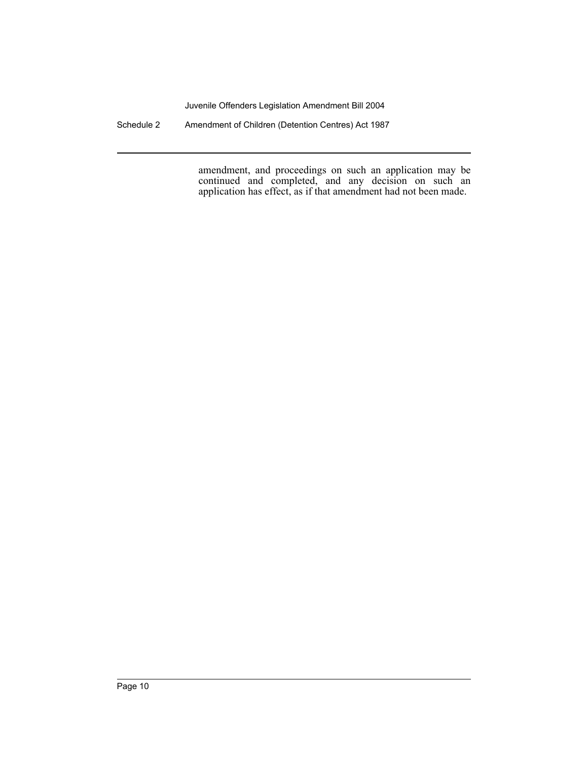Schedule 2 Amendment of Children (Detention Centres) Act 1987

amendment, and proceedings on such an application may be continued and completed, and any decision on such an application has effect, as if that amendment had not been made.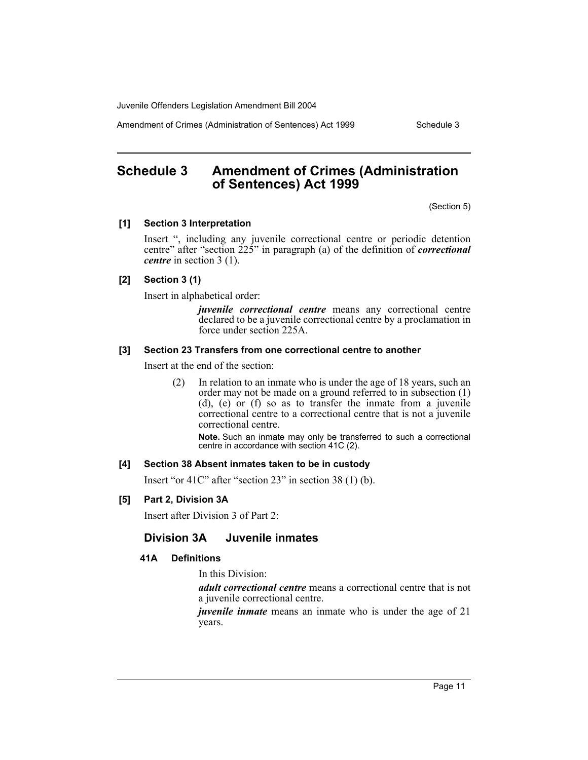Amendment of Crimes (Administration of Sentences) Act 1999 Schedule 3

# **Schedule 3 Amendment of Crimes (Administration of Sentences) Act 1999**

(Section 5)

#### **[1] Section 3 Interpretation**

Insert ", including any juvenile correctional centre or periodic detention centre" after "section 225" in paragraph (a) of the definition of *correctional centre* in section 3 (1).

# **[2] Section 3 (1)**

Insert in alphabetical order:

*juvenile correctional centre* means any correctional centre declared to be a juvenile correctional centre by a proclamation in force under section 225A.

#### **[3] Section 23 Transfers from one correctional centre to another**

Insert at the end of the section:

(2) In relation to an inmate who is under the age of 18 years, such an order may not be made on a ground referred to in subsection (1) (d), (e) or (f) so as to transfer the inmate from a juvenile correctional centre to a correctional centre that is not a juvenile correctional centre.

**Note.** Such an inmate may only be transferred to such a correctional centre in accordance with section 41C (2).

# **[4] Section 38 Absent inmates taken to be in custody**

Insert "or 41C" after "section 23" in section 38 (1) (b).

# **[5] Part 2, Division 3A**

Insert after Division 3 of Part 2:

# **Division 3A Juvenile inmates**

# **41A Definitions**

In this Division:

*adult correctional centre* means a correctional centre that is not a juvenile correctional centre.

*juvenile inmate* means an inmate who is under the age of 21 years.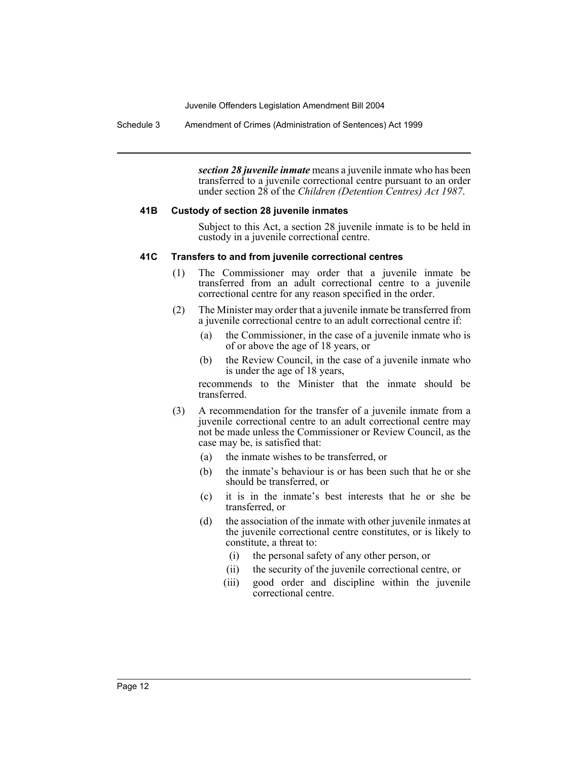Schedule 3 Amendment of Crimes (Administration of Sentences) Act 1999

*section 28 juvenile inmate* means a juvenile inmate who has been transferred to a juvenile correctional centre pursuant to an order under section 28 of the *Children (Detention Centres) Act 1987*.

#### **41B Custody of section 28 juvenile inmates**

Subject to this Act, a section 28 juvenile inmate is to be held in custody in a juvenile correctional centre.

#### **41C Transfers to and from juvenile correctional centres**

- (1) The Commissioner may order that a juvenile inmate be transferred from an adult correctional centre to a juvenile correctional centre for any reason specified in the order.
- (2) The Minister may order that a juvenile inmate be transferred from a juvenile correctional centre to an adult correctional centre if:
	- (a) the Commissioner, in the case of a juvenile inmate who is of or above the age of 18 years, or
	- (b) the Review Council, in the case of a juvenile inmate who is under the age of 18 years,

recommends to the Minister that the inmate should be transferred.

- (3) A recommendation for the transfer of a juvenile inmate from a juvenile correctional centre to an adult correctional centre may not be made unless the Commissioner or Review Council, as the case may be, is satisfied that:
	- (a) the inmate wishes to be transferred, or
	- (b) the inmate's behaviour is or has been such that he or she should be transferred, or
	- (c) it is in the inmate's best interests that he or she be transferred, or
	- (d) the association of the inmate with other juvenile inmates at the juvenile correctional centre constitutes, or is likely to constitute, a threat to:
		- (i) the personal safety of any other person, or
		- (ii) the security of the juvenile correctional centre, or
		- (iii) good order and discipline within the juvenile correctional centre.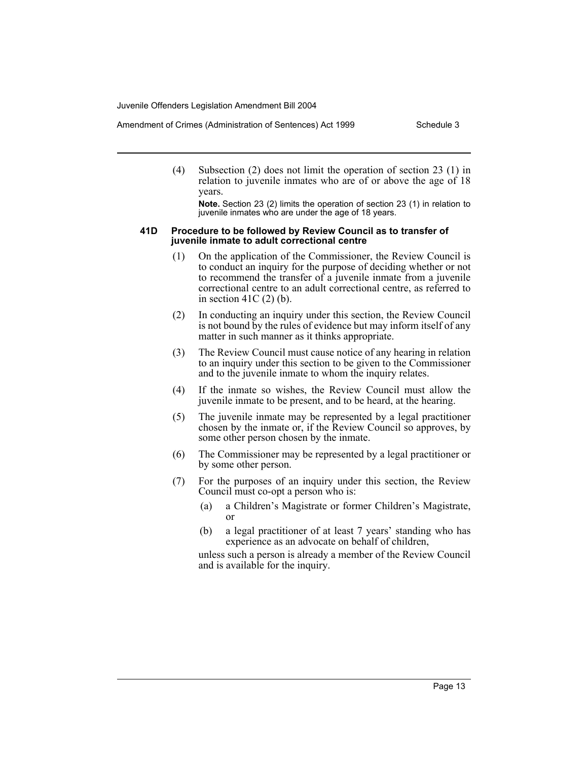Amendment of Crimes (Administration of Sentences) Act 1999 Schedule 3

(4) Subsection (2) does not limit the operation of section 23 (1) in relation to juvenile inmates who are of or above the age of 18 years.

**Note.** Section 23 (2) limits the operation of section 23 (1) in relation to juvenile inmates who are under the age of 18 years.

#### **41D Procedure to be followed by Review Council as to transfer of juvenile inmate to adult correctional centre**

- (1) On the application of the Commissioner, the Review Council is to conduct an inquiry for the purpose of deciding whether or not to recommend the transfer of a juvenile inmate from a juvenile correctional centre to an adult correctional centre, as referred to in section  $41C(2)$  (b).
- (2) In conducting an inquiry under this section, the Review Council is not bound by the rules of evidence but may inform itself of any matter in such manner as it thinks appropriate.
- (3) The Review Council must cause notice of any hearing in relation to an inquiry under this section to be given to the Commissioner and to the juvenile inmate to whom the inquiry relates.
- (4) If the inmate so wishes, the Review Council must allow the juvenile inmate to be present, and to be heard, at the hearing.
- (5) The juvenile inmate may be represented by a legal practitioner chosen by the inmate or, if the Review Council so approves, by some other person chosen by the inmate.
- (6) The Commissioner may be represented by a legal practitioner or by some other person.
- (7) For the purposes of an inquiry under this section, the Review Council must co-opt a person who is:
	- (a) a Children's Magistrate or former Children's Magistrate, or
	- (b) a legal practitioner of at least 7 years' standing who has experience as an advocate on behalf of children,

unless such a person is already a member of the Review Council and is available for the inquiry.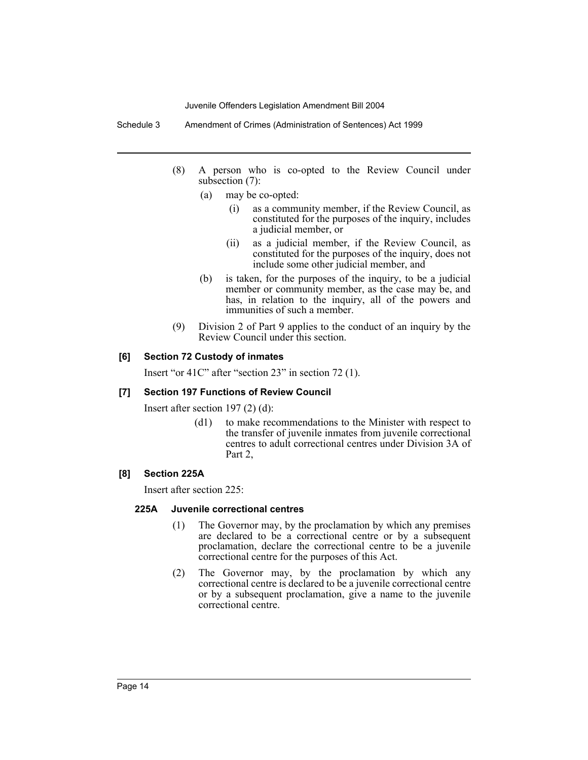Schedule 3 Amendment of Crimes (Administration of Sentences) Act 1999

- (8) A person who is co-opted to the Review Council under subsection (7):
	- (a) may be co-opted:
		- (i) as a community member, if the Review Council, as constituted for the purposes of the inquiry, includes a judicial member, or
		- (ii) as a judicial member, if the Review Council, as constituted for the purposes of the inquiry, does not include some other judicial member, and
	- (b) is taken, for the purposes of the inquiry, to be a judicial member or community member, as the case may be, and has, in relation to the inquiry, all of the powers and immunities of such a member.
- (9) Division 2 of Part 9 applies to the conduct of an inquiry by the Review Council under this section.

#### **[6] Section 72 Custody of inmates**

Insert "or 41C" after "section 23" in section 72 (1).

#### **[7] Section 197 Functions of Review Council**

Insert after section 197 (2) (d):

(d1) to make recommendations to the Minister with respect to the transfer of juvenile inmates from juvenile correctional centres to adult correctional centres under Division 3A of Part 2,

#### **[8] Section 225A**

Insert after section 225:

#### **225A Juvenile correctional centres**

- (1) The Governor may, by the proclamation by which any premises are declared to be a correctional centre or by a subsequent proclamation, declare the correctional centre to be a juvenile correctional centre for the purposes of this Act.
- (2) The Governor may, by the proclamation by which any correctional centre is declared to be a juvenile correctional centre or by a subsequent proclamation, give a name to the juvenile correctional centre.